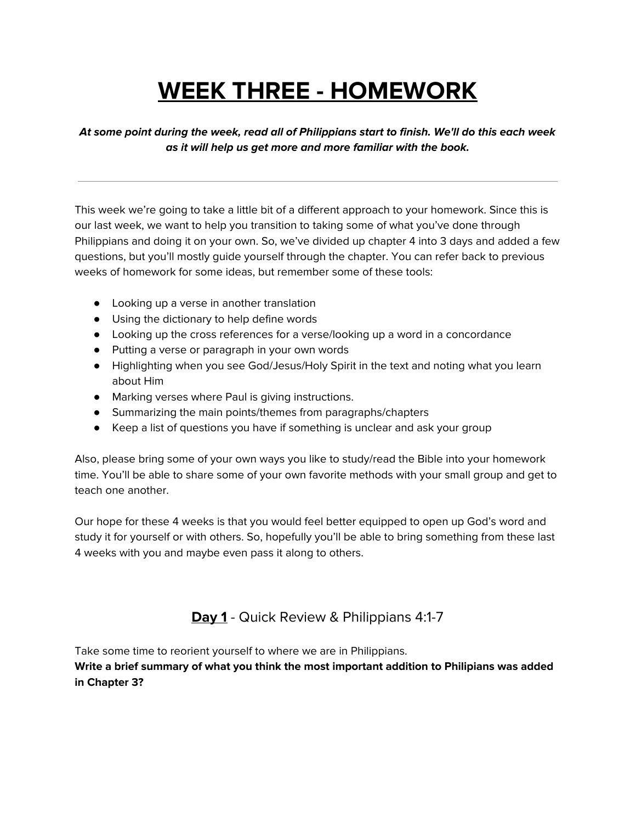## **WEEK THREE - HOMEWORK**

**At some point during the week, read all of Philippians start to finish. We'll do this each week as it will help us get more and more familiar with the book.**

This week we're going to take a little bit of a different approach to your homework. Since this is our last week, we want to help you transition to taking some of what you've done through Philippians and doing it on your own. So, we've divided up chapter 4 into 3 days and added a few questions, but you'll mostly guide yourself through the chapter. You can refer back to previous weeks of homework for some ideas, but remember some of these tools:

- Looking up a verse in another translation
- Using the dictionary to help define words
- Looking up the cross references for a verse/looking up a word in a concordance
- Putting a verse or paragraph in your own words
- Highlighting when you see God/Jesus/Holy Spirit in the text and noting what you learn about Him
- Marking verses where Paul is giving instructions.
- Summarizing the main points/themes from paragraphs/chapters
- Keep a list of questions you have if something is unclear and ask your group

Also, please bring some of your own ways you like to study/read the Bible into your homework time. You'll be able to share some of your own favorite methods with your small group and get to teach one another.

Our hope for these 4 weeks is that you would feel better equipped to open up God's word and study it for yourself or with others. So, hopefully you'll be able to bring something from these last 4 weeks with you and maybe even pass it along to others.

**Day 1** - Quick Review & Philippians 4:1-7

Take some time to reorient yourself to where we are in Philippians.

**Write a brief summary of what you think the most important addition to Philipians was added in Chapter 3?**